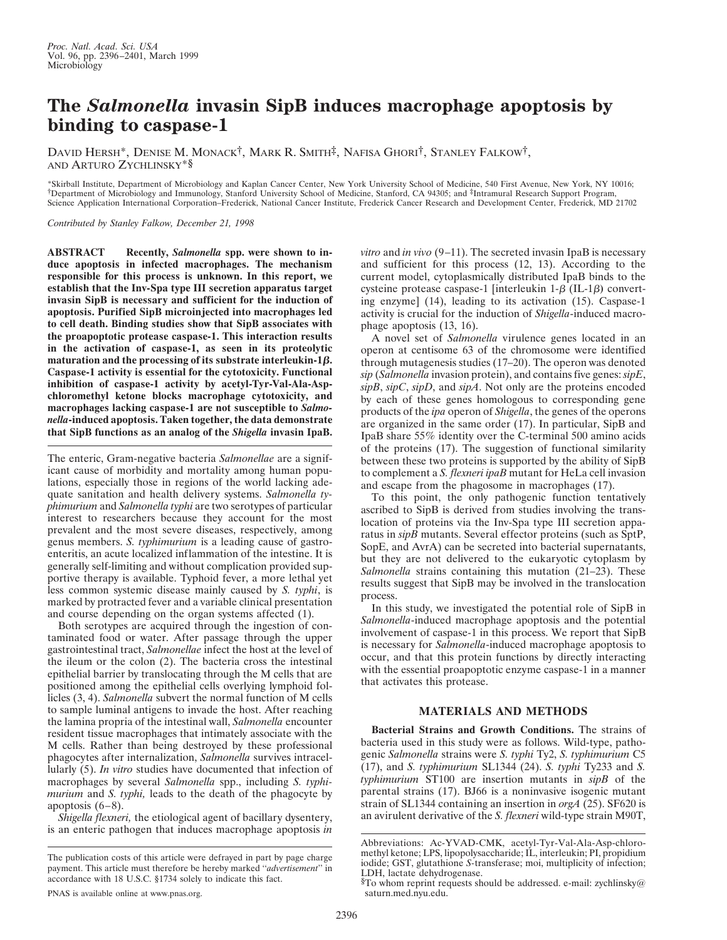## **The** *Salmonella* **invasin SipB induces macrophage apoptosis by binding to caspase-1**

DAVID HERSH\*, DENISE M. MONACK†, MARK R. SMITH‡, NAFISA GHORI†, STANLEY FALKOW†, AND ARTURO ZYCHLINSKY\*§

\*Skirball Institute, Department of Microbiology and Kaplan Cancer Center, New York University School of Medicine, 540 First Avenue, New York, NY 10016; †Department of Microbiology and Immunology, Stanford University School of Medicine, Stanford, CA 94305; and ‡Intramural Research Support Program, Science Application International Corporation–Frederick, National Cancer Institute, Frederick Cancer Research and Development Center, Frederick, MD 21702

*Contributed by Stanley Falkow, December 21, 1998*

**ABSTRACT Recently,** *Salmonella* **spp. were shown to induce apoptosis in infected macrophages. The mechanism responsible for this process is unknown. In this report, we establish that the Inv-Spa type III secretion apparatus target invasin SipB is necessary and sufficient for the induction of apoptosis. Purified SipB microinjected into macrophages led to cell death. Binding studies show that SipB associates with the proapoptotic protease caspase-1. This interaction results in the activation of caspase-1, as seen in its proteolytic maturation and the processing of its substrate interleukin-1** $\beta$ **. Caspase-1 activity is essential for the cytotoxicity. Functional inhibition of caspase-1 activity by acetyl-Tyr-Val-Ala-Aspchloromethyl ketone blocks macrophage cytotoxicity, and macrophages lacking caspase-1 are not susceptible to** *Salmonella***-induced apoptosis. Taken together, the data demonstrate that SipB functions as an analog of the** *Shigella* **invasin IpaB.**

The enteric, Gram-negative bacteria *Salmonellae* are a significant cause of morbidity and mortality among human populations, especially those in regions of the world lacking adequate sanitation and health delivery systems. *Salmonella typhimurium* and *Salmonella typhi* are two serotypes of particular interest to researchers because they account for the most prevalent and the most severe diseases, respectively, among genus members. *S. typhimurium* is a leading cause of gastroenteritis, an acute localized inflammation of the intestine. It is generally self-limiting and without complication provided supportive therapy is available. Typhoid fever, a more lethal yet less common systemic disease mainly caused by *S. typhi*, is marked by protracted fever and a variable clinical presentation and course depending on the organ systems affected (1).

Both serotypes are acquired through the ingestion of contaminated food or water. After passage through the upper gastrointestinal tract, *Salmonellae* infect the host at the level of the ileum or the colon (2). The bacteria cross the intestinal epithelial barrier by translocating through the M cells that are positioned among the epithelial cells overlying lymphoid follicles (3, 4). *Salmonella* subvert the normal function of M cells to sample luminal antigens to invade the host. After reaching the lamina propria of the intestinal wall, *Salmonella* encounter resident tissue macrophages that intimately associate with the M cells. Rather than being destroyed by these professional phagocytes after internalization, *Salmonella* survives intracellularly (5). *In vitro* studies have documented that infection of macrophages by several *Salmonella* spp., including *S. typhimurium* and *S. typhi,* leads to the death of the phagocyte by apoptosis (6–8).

*Shigella flexneri,* the etiological agent of bacillary dysentery, is an enteric pathogen that induces macrophage apoptosis *in*

*vitro* and *in vivo* (9–11). The secreted invasin IpaB is necessary and sufficient for this process (12, 13). According to the current model, cytoplasmically distributed IpaB binds to the cysteine protease caspase-1 [interleukin  $1-\beta$  (IL-1 $\beta$ ) converting enzyme] (14), leading to its activation (15). Caspase-1 activity is crucial for the induction of *Shigella*-induced macrophage apoptosis (13, 16).

A novel set of *Salmonella* virulence genes located in an operon at centisome 63 of the chromosome were identified through mutagenesis studies (17–20). The operon was denoted *sip* (*Salmonella* invasion protein), and contains five genes: *sipE*, *sipB*, *sipC*, *sipD*, and *sipA*. Not only are the proteins encoded by each of these genes homologous to corresponding gene products of the *ipa* operon of *Shigella*, the genes of the operons are organized in the same order (17). In particular, SipB and IpaB share 55% identity over the C-terminal 500 amino acids of the proteins (17). The suggestion of functional similarity between these two proteins is supported by the ability of SipB to complement a *S. flexneri ipaB* mutant for HeLa cell invasion and escape from the phagosome in macrophages (17).

To this point, the only pathogenic function tentatively ascribed to SipB is derived from studies involving the translocation of proteins via the Inv-Spa type III secretion apparatus in *sipB* mutants. Several effector proteins (such as SptP, SopE, and AvrA) can be secreted into bacterial supernatants, but they are not delivered to the eukaryotic cytoplasm by *Salmonella* strains containing this mutation (21–23). These results suggest that SipB may be involved in the translocation process.

In this study, we investigated the potential role of SipB in *Salmonella*-induced macrophage apoptosis and the potential involvement of caspase-1 in this process. We report that SipB is necessary for *Salmonella*-induced macrophage apoptosis to occur, and that this protein functions by directly interacting with the essential proapoptotic enzyme caspase-1 in a manner that activates this protease.

## **MATERIALS AND METHODS**

**Bacterial Strains and Growth Conditions.** The strains of bacteria used in this study were as follows. Wild-type, pathogenic *Salmonella* strains were *S. typhi* Ty2, *S. typhimurium* C5 (17), and *S. typhimurium* SL1344 (24). *S. typhi* Ty233 and *S. typhimurium* ST100 are insertion mutants in *sipB* of the parental strains (17). BJ66 is a noninvasive isogenic mutant strain of SL1344 containing an insertion in *orgA* (25). SF620 is an avirulent derivative of the *S. flexneri* wild-type strain M90T,

The publication costs of this article were defrayed in part by page charge payment. This article must therefore be hereby marked ''*advertisement*'' in accordance with 18 U.S.C. §1734 solely to indicate this fact.

PNAS is available online at www.pnas.org.

Abbreviations: Ac-YVAD-CMK, acetyl-Tyr-Val-Ala-Asp-chloromethyl ketone; LPS, lipopolysaccharide; IL, interleukin; PI, propidium iodide; GST, glutathione *S-*transferase; moi, multiplicity of infection; LDH, lactate dehydrogenase.

 $\S$ To whom reprint requests should be addressed. e-mail: zychlinsky@ saturn.med.nyu.edu.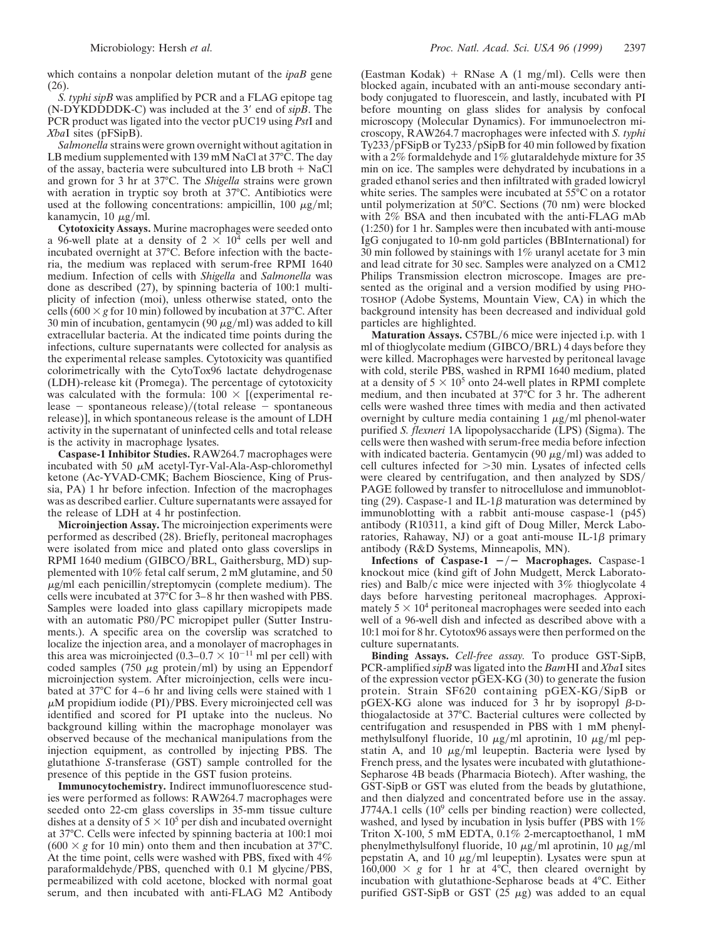which contains a nonpolar deletion mutant of the *ipaB* gene (26).

*S. typhi sipB* was amplified by PCR and a FLAG epitope tag  $(N-DYKDDDDK-C)$  was included at the 3' end of  $sipB$ . The PCR product was ligated into the vector pUC19 using *Pst*I and *Xba*I sites (pFSipB).

*Salmonella* strains were grown overnight without agitation in LB medium supplemented with 139 mM NaCl at 37°C. The day of the assay, bacteria were subcultured into LB broth  $+$  NaCl and grown for 3 hr at 37°C. The *Shigella* strains were grown with aeration in tryptic soy broth at 37°C. Antibiotics were used at the following concentrations: ampicillin, 100  $\mu$ g/ml; kanamycin, 10  $\mu$ g/ml.

**Cytotoxicity Assays.** Murine macrophages were seeded onto a 96-well plate at a density of  $2 \times 10^4$  cells per well and incubated overnight at 37°C. Before infection with the bacteria, the medium was replaced with serum-free RPMI 1640 medium. Infection of cells with *Shigella* and *Salmonella* was done as described (27), by spinning bacteria of 100:1 multiplicity of infection (moi), unless otherwise stated, onto the cells (600  $\times$  *g* for 10 min) followed by incubation at 37°C. After 30 min of incubation, gentamycin (90  $\mu$ g/ml) was added to kill extracellular bacteria. At the indicated time points during the infections, culture supernatants were collected for analysis as the experimental release samples. Cytotoxicity was quantified colorimetrically with the CytoTox96 lactate dehydrogenase (LDH)-release kit (Promega). The percentage of cytotoxicity was calculated with the formula:  $100 \times$  [(experimental release  $-$  spontaneous release)/(total release  $-$  spontaneous release)], in which spontaneous release is the amount of LDH activity in the supernatant of uninfected cells and total release is the activity in macrophage lysates.

**Caspase-1 Inhibitor Studies.** RAW264.7 macrophages were incubated with 50  $\mu$ M acetyl-Tyr-Val-Ala-Asp-chloromethyl ketone (Ac-YVAD-CMK; Bachem Bioscience, King of Prussia, PA) 1 hr before infection. Infection of the macrophages was as described earlier. Culture supernatants were assayed for the release of LDH at 4 hr postinfection.

**Microinjection Assay.** The microinjection experiments were performed as described (28). Briefly, peritoneal macrophages were isolated from mice and plated onto glass coverslips in RPMI 1640 medium (GIBCO/BRL, Gaithersburg, MD) supplemented with 10% fetal calf serum, 2 mM glutamine, and 50  $\mu$ g/ml each penicillin/streptomycin (complete medium). The cells were incubated at 37°C for 3–8 hr then washed with PBS. Samples were loaded into glass capillary micropipets made with an automatic P80/PC micropipet puller (Sutter Instruments.). A specific area on the coverslip was scratched to localize the injection area, and a monolayer of macrophages in this area was microinjected (0.3–0.7  $\times$  10<sup>-11</sup> ml per cell) with coded samples (750  $\mu$ g protein/ml) by using an Eppendorf microinjection system. After microinjection, cells were incubated at 37°C for 4–6 hr and living cells were stained with 1  $\mu$ M propidium iodide (PI)/PBS. Every microinjected cell was identified and scored for PI uptake into the nucleus. No background killing within the macrophage monolayer was observed because of the mechanical manipulations from the injection equipment, as controlled by injecting PBS. The glutathione *S*-transferase (GST) sample controlled for the presence of this peptide in the GST fusion proteins.

**Immunocytochemistry.** Indirect immunofluorescence studies were performed as follows: RAW264.7 macrophages were seeded onto 22-cm glass coverslips in 35-mm tissue culture dishes at a density of  $5 \times 10^5$  per dish and incubated overnight at 37°C. Cells were infected by spinning bacteria at 100:1 moi  $(600 \times g$  for 10 min) onto them and then incubation at 37<sup>o</sup>C. At the time point, cells were washed with PBS, fixed with 4% paraformaldehyde/PBS, quenched with  $0.1$  M glycine/PBS, permeabilized with cold acetone, blocked with normal goat serum, and then incubated with anti-FLAG M2 Antibody

(Eastman Kodak) + RNase A (1 mg/ml). Cells were then blocked again, incubated with an anti-mouse secondary antibody conjugated to fluorescein, and lastly, incubated with PI before mounting on glass slides for analysis by confocal microscopy (Molecular Dynamics). For immunoelectron microscopy, RAW264.7 macrophages were infected with *S. typhi* Ty233/pFSipB or Ty233/pSipB for 40 min followed by fixation with a 2% formaldehyde and 1% glutaraldehyde mixture for 35 min on ice. The samples were dehydrated by incubations in a graded ethanol series and then infiltrated with graded lowicryl white series. The samples were incubated at 55<sup>o</sup>C on a rotator until polymerization at 50°C. Sections (70 nm) were blocked with 2% BSA and then incubated with the anti-FLAG mAb (1:250) for 1 hr. Samples were then incubated with anti-mouse IgG conjugated to 10-nm gold particles (BBInternational) for 30 min followed by stainings with  $1\%$  uranyl acetate for 3 min and lead citrate for 30 sec. Samples were analyzed on a CM12 Philips Transmission electron microscope. Images are presented as the original and a version modified by using PHO-TOSHOP (Adobe Systems, Mountain View, CA) in which the background intensity has been decreased and individual gold particles are highlighted.

**Maturation Assays.** C57BL/6 mice were injected i.p. with 1 ml of thioglycolate medium (GIBCO/BRL) 4 days before they were killed. Macrophages were harvested by peritoneal lavage with cold, sterile PBS, washed in RPMI 1640 medium, plated at a density of  $5 \times 10^5$  onto 24-well plates in RPMI complete medium, and then incubated at 37°C for 3 hr. The adherent cells were washed three times with media and then activated overnight by culture media containing  $1 \mu g/ml$  phenol-water purified *S. flexneri* 1A lipopolysaccharide (LPS) (Sigma). The cells were then washed with serum-free media before infection with indicated bacteria. Gentamycin (90  $\mu$ g/ml) was added to cell cultures infected for  $>30$  min. Lysates of infected cells were cleared by centrifugation, and then analyzed by SDS/ PAGE followed by transfer to nitrocellulose and immunoblotting (29). Caspase-1 and IL-1 $\beta$  maturation was determined by immunoblotting with a rabbit anti-mouse caspase-1 (p45) antibody (R10311, a kind gift of Doug Miller, Merck Laboratories, Rahaway, NJ) or a goat anti-mouse IL-1 $\beta$  primary antibody (R&D Systems, Minneapolis, MN).

**Infections of Caspase-1**  $-\prime$  **Macrophages.** Caspase-1 knockout mice (kind gift of John Mudgett, Merck Laboratories) and Balb/c mice were injected with  $3\%$  thioglycolate 4 days before harvesting peritoneal macrophages. Approximately  $5 \times 10^4$  peritoneal macrophages were seeded into each well of a 96-well dish and infected as described above with a 10:1 moi for 8 hr. Cytotox96 assays were then performed on the culture supernatants.

**Binding Assays.** *Cell-free assay.* To produce GST-SipB, PCR-amplified *sipB* was ligated into the *Bam*HI and *Xba*I sites of the expression vector pGEX-KG (30) to generate the fusion protein. Strain SF620 containing pGEX-KG/SipB or pGEX-KG alone was induced for 3 hr by isopropyl  $\beta$ -Dthiogalactoside at 37°C. Bacterial cultures were collected by centrifugation and resuspended in PBS with 1 mM phenylmethylsulfonyl fluoride, 10  $\mu$ g/ml aprotinin, 10  $\mu$ g/ml pepstatin A, and 10  $\mu$ g/ml leupeptin. Bacteria were lysed by French press, and the lysates were incubated with glutathione-Sepharose 4B beads (Pharmacia Biotech). After washing, the GST-SipB or GST was eluted from the beads by glutathione, and then dialyzed and concentrated before use in the assay. J774A.1 cells  $(10^9 \text{ cells per binding reaction})$  were collected, washed, and lysed by incubation in lysis buffer (PBS with 1% Triton X-100, 5 mM EDTA, 0.1% 2-mercaptoethanol, 1 mM phenylmethylsulfonyl fluoride, 10  $\mu$ g/ml aprotinin, 10  $\mu$ g/ml pepstatin A, and 10  $\mu$ g/ml leupeptin). Lysates were spun at  $160,000 \times g$  for 1 hr at 4°C, then cleared overnight by incubation with glutathione-Sepharose beads at 4°C. Either purified GST-SipB or GST  $(2\bar{5} \mu g)$  was added to an equal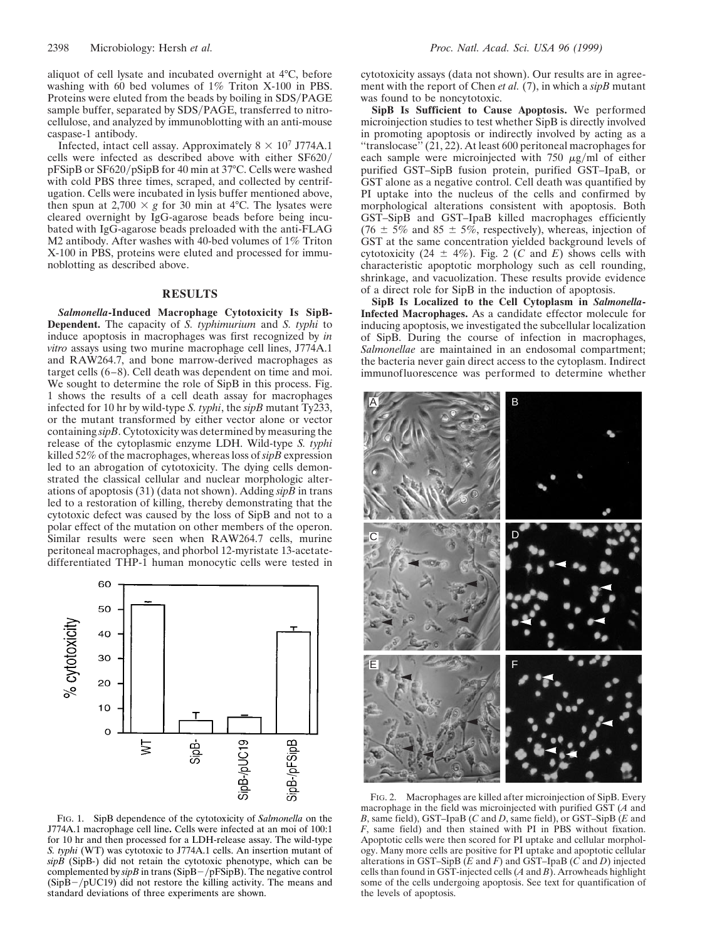aliquot of cell lysate and incubated overnight at 4°C, before washing with 60 bed volumes of 1% Triton X-100 in PBS. Proteins were eluted from the beads by boiling in SDS/PAGE sample buffer, separated by SDS/PAGE, transferred to nitrocellulose, and analyzed by immunoblotting with an anti-mouse caspase-1 antibody.

Infected, intact cell assay. Approximately  $8 \times 10^7$  J774A.1 cells were infected as described above with either SF620/ pFSipB or SF620/pSipB for 40 min at 37°C. Cells were washed with cold PBS three times, scraped, and collected by centrifugation. Cells were incubated in lysis buffer mentioned above, then spun at 2,700  $\times$  g for 30 min at 4°C. The lysates were cleared overnight by IgG-agarose beads before being incubated with IgG-agarose beads preloaded with the anti-FLAG M2 antibody. After washes with 40-bed volumes of 1% Triton X-100 in PBS, proteins were eluted and processed for immunoblotting as described above.

## **RESULTS**

*Salmonella***-Induced Macrophage Cytotoxicity Is SipB-Dependent.** The capacity of *S. typhimurium* and *S. typhi* to induce apoptosis in macrophages was first recognized by *in vitro* assays using two murine macrophage cell lines, J774A.1 and RAW264.7, and bone marrow-derived macrophages as target cells (6–8). Cell death was dependent on time and moi. We sought to determine the role of SipB in this process. Fig. 1 shows the results of a cell death assay for macrophages infected for 10 hr by wild-type *S. typhi*, the *sipB* mutant Ty233, or the mutant transformed by either vector alone or vector containing *sipB*. Cytotoxicity was determined by measuring the release of the cytoplasmic enzyme LDH. Wild-type *S. typhi* killed 52% of the macrophages, whereas loss of *sipB* expression led to an abrogation of cytotoxicity. The dying cells demonstrated the classical cellular and nuclear morphologic alterations of apoptosis (31) (data not shown). Adding *sipB* in trans led to a restoration of killing, thereby demonstrating that the cytotoxic defect was caused by the loss of SipB and not to a polar effect of the mutation on other members of the operon. Similar results were seen when RAW264.7 cells, murine peritoneal macrophages, and phorbol 12-myristate 13-acetatedifferentiated THP-1 human monocytic cells were tested in



FIG. 1. SipB dependence of the cytotoxicity of *Salmonella* on the J774A.1 macrophage cell line**.** Cells were infected at an moi of 100:1 for 10 hr and then processed for a LDH-release assay. The wild-type *S. typhi* (WT) was cytotoxic to J774A.1 cells. An insertion mutant of  $sip\overline{B}$  (SipB-) did not retain the cytotoxic phenotype, which can be complemented by  $\sin B$  in trans (SipB-/pFSipB). The negative control  $(SipB-/pUC19)$  did not restore the killing activity. The means and standard deviations of three experiments are shown.

cytotoxicity assays (data not shown). Our results are in agreement with the report of Chen *et al.* (7), in which a *sipB* mutant was found to be noncytotoxic.

**SipB Is Sufficient to Cause Apoptosis.** We performed microinjection studies to test whether SipB is directly involved in promoting apoptosis or indirectly involved by acting as a ''translocase'' (21, 22). At least 600 peritoneal macrophages for each sample were microinjected with  $750 \mu g/ml$  of either purified GST–SipB fusion protein, purified GST–IpaB, or GST alone as a negative control. Cell death was quantified by PI uptake into the nucleus of the cells and confirmed by morphological alterations consistent with apoptosis. Both GST–SipB and GST–IpaB killed macrophages efficiently  $(76 \pm 5\%$  and  $85 \pm 5\%$ , respectively), whereas, injection of GST at the same concentration yielded background levels of cytotoxicity (24  $\pm$  4%). Fig. 2 (*C* and *E*) shows cells with characteristic apoptotic morphology such as cell rounding, shrinkage, and vacuolization. These results provide evidence of a direct role for SipB in the induction of apoptosis.

**SipB Is Localized to the Cell Cytoplasm in** *Salmonella***-Infected Macrophages.** As a candidate effector molecule for inducing apoptosis, we investigated the subcellular localization of SipB. During the course of infection in macrophages, *Salmonellae* are maintained in an endosomal compartment; the bacteria never gain direct access to the cytoplasm. Indirect immunofluorescence was performed to determine whether



FIG. 2. Macrophages are killed after microinjection of SipB. Every macrophage in the field was microinjected with purified GST (*A* and *B*, same field), GST–IpaB (*C* and *D*, same field), or GST–SipB (*E* and *F*, same field) and then stained with PI in PBS without fixation. Apoptotic cells were then scored for PI uptake and cellular morphology. Many more cells are positive for PI uptake and apoptotic cellular alterations in GST–SipB (*E* and *F*) and GST–IpaB (*C* and *D*) injected cells than found in GST-injected cells (*A* and *B*). Arrowheads highlight some of the cells undergoing apoptosis. See text for quantification of the levels of apoptosis.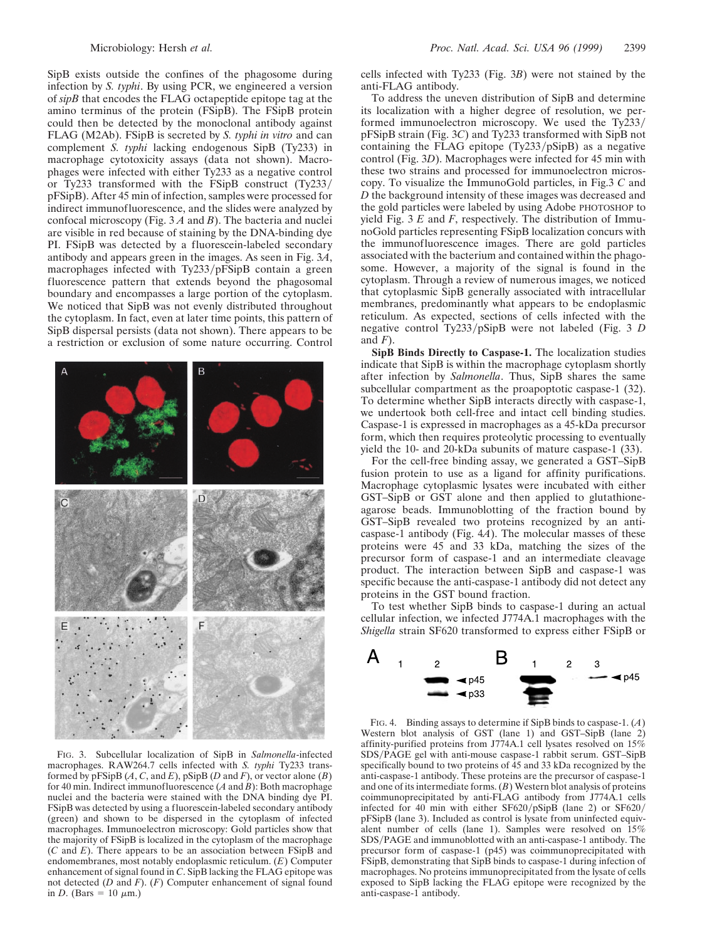SipB exists outside the confines of the phagosome during infection by *S. typhi*. By using PCR, we engineered a version of *sipB* that encodes the FLAG octapeptide epitope tag at the amino terminus of the protein (FSipB). The FSipB protein could then be detected by the monoclonal antibody against FLAG (M2Ab). FSipB is secreted by *S. typhi in vitro* and can complement *S. typhi* lacking endogenous SipB (Ty233) in macrophage cytotoxicity assays (data not shown). Macrophages were infected with either Ty233 as a negative control or Ty233 transformed with the FSipB construct  $(Tv233/$ pFSipB). After 45 min of infection, samples were processed for indirect immunofluorescence, and the slides were analyzed by confocal microscopy (Fig. 3 *A* and *B*). The bacteria and nuclei are visible in red because of staining by the DNA-binding dye PI. FSipB was detected by a fluorescein-labeled secondary antibody and appears green in the images. As seen in Fig. 3*A*, macrophages infected with  $Ty233/pFSipB$  contain a green fluorescence pattern that extends beyond the phagosomal boundary and encompasses a large portion of the cytoplasm. We noticed that SipB was not evenly distributed throughout the cytoplasm. In fact, even at later time points, this pattern of SipB dispersal persists (data not shown). There appears to be a restriction or exclusion of some nature occurring. Control



FIG. 3. Subcellular localization of SipB in *Salmonella*-infected macrophages. RAW264.7 cells infected with *S. typhi* Ty233 transformed by  $pF\text{SipB}(A, C, \text{and } E)$ ,  $p\text{SipB}(D \text{ and } F)$ , or vector alone  $(B)$ for 40 min. Indirect immunofluorescence (*A* and *B*): Both macrophage nuclei and the bacteria were stained with the DNA binding dye PI. FSipB was detected by using a fluorescein-labeled secondary antibody (green) and shown to be dispersed in the cytoplasm of infected macrophages. Immunoelectron microscopy: Gold particles show that the majority of FSipB is localized in the cytoplasm of the macrophage (*C* and *E*). There appears to be an association between FSipB and endomembranes, most notably endoplasmic reticulum. (*E*) Computer enhancement of signal found in *C*. SipB lacking the FLAG epitope was not detected (*D* and *F*). (*F*) Computer enhancement of signal found in *D*. (Bars =  $10 \mu m$ .)

cells infected with Ty233 (Fig. 3*B*) were not stained by the anti-FLAG antibody.

To address the uneven distribution of SipB and determine its localization with a higher degree of resolution, we performed immunoelectron microscopy. We used the Ty $233/$ pFSipB strain (Fig. 3*C*) and Ty233 transformed with SipB not containing the FLAG epitope  $(Tv233/pSipB)$  as a negative control (Fig. 3*D*). Macrophages were infected for 45 min with these two strains and processed for immunoelectron microscopy. To visualize the ImmunoGold particles, in Fig.3 *C* and *D* the background intensity of these images was decreased and the gold particles were labeled by using Adobe PHOTOSHOP to yield Fig. 3 *E* and *F*, respectively. The distribution of ImmunoGold particles representing FSipB localization concurs with the immunofluorescence images. There are gold particles associated with the bacterium and contained within the phagosome. However, a majority of the signal is found in the cytoplasm. Through a review of numerous images, we noticed that cytoplasmic SipB generally associated with intracellular membranes, predominantly what appears to be endoplasmic reticulum. As expected, sections of cells infected with the negative control Ty233/pSipB were not labeled (Fig. 3 *D*) and  $F$ ).

**SipB Binds Directly to Caspase-1.** The localization studies indicate that SipB is within the macrophage cytoplasm shortly after infection by *Salmonella*. Thus, SipB shares the same subcellular compartment as the proapoptotic caspase-1 (32). To determine whether SipB interacts directly with caspase-1, we undertook both cell-free and intact cell binding studies. Caspase-1 is expressed in macrophages as a 45-kDa precursor form, which then requires proteolytic processing to eventually yield the 10- and 20-kDa subunits of mature caspase-1 (33).

For the cell-free binding assay, we generated a GST–SipB fusion protein to use as a ligand for affinity purifications. Macrophage cytoplasmic lysates were incubated with either GST–SipB or GST alone and then applied to glutathioneagarose beads. Immunoblotting of the fraction bound by GST–SipB revealed two proteins recognized by an anticaspase-1 antibody (Fig. 4*A*). The molecular masses of these proteins were 45 and 33 kDa, matching the sizes of the precursor form of caspase-1 and an intermediate cleavage product. The interaction between SipB and caspase-1 was specific because the anti-caspase-1 antibody did not detect any proteins in the GST bound fraction.

To test whether SipB binds to caspase-1 during an actual cellular infection, we infected J774A.1 macrophages with the *Shigella* strain SF620 transformed to express either FSipB or



FIG. 4. Binding assays to determine if SipB binds to caspase-1. (*A*) Western blot analysis of GST (lane 1) and GST–SipB (lane 2) affinity-purified proteins from J774A.1 cell lysates resolved on  $15\%$ SDS/PAGE gel with anti-mouse caspase-1 rabbit serum. GST-SipB specifically bound to two proteins of 45 and 33 kDa recognized by the anti-caspase-1 antibody. These proteins are the precursor of caspase-1 and one of its intermediate forms. (*B*) Western blot analysis of proteins coimmunoprecipitated by anti-FLAG antibody from J774A.1 cells infected for 40 min with either  $SF620/pSipB$  (lane 2) or  $SF620/pSipB$ pFSipB (lane 3). Included as control is lysate from uninfected equivalent number of cells (lane 1). Samples were resolved on 15% SDS/PAGE and immunoblotted with an anti-caspase-1 antibody. The precursor form of caspase-1 (p45) was coimmunoprecipitated with FSipB, demonstrating that SipB binds to caspase-1 during infection of macrophages. No proteins immunoprecipitated from the lysate of cells exposed to SipB lacking the FLAG epitope were recognized by the anti-caspase-1 antibody.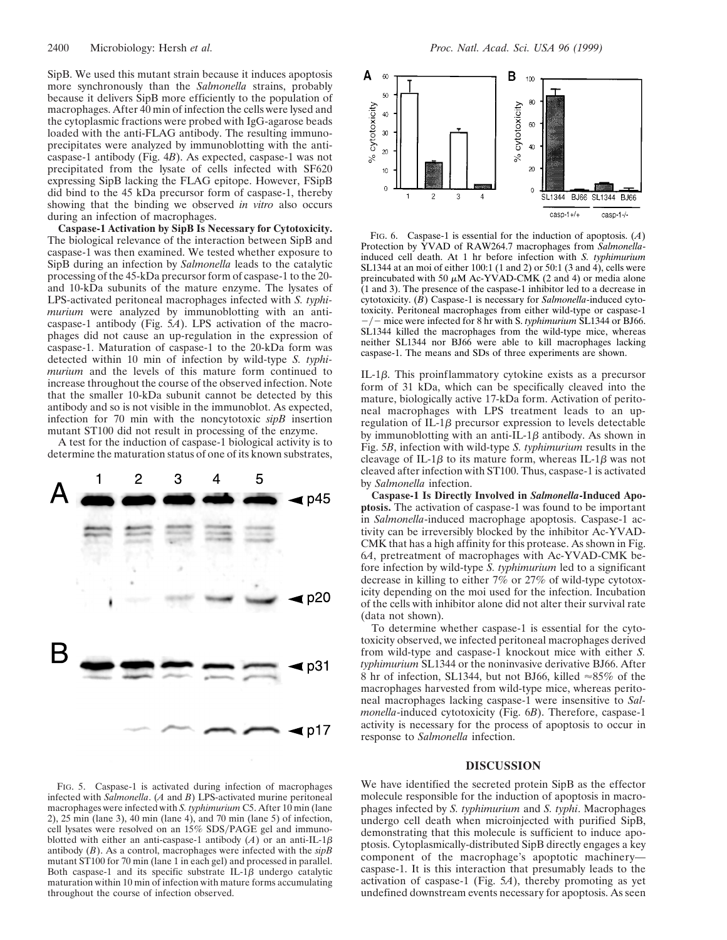SipB. We used this mutant strain because it induces apoptosis more synchronously than the *Salmonella* strains, probably because it delivers SipB more efficiently to the population of macrophages. After 40 min of infection the cells were lysed and the cytoplasmic fractions were probed with IgG-agarose beads loaded with the anti-FLAG antibody. The resulting immunoprecipitates were analyzed by immunoblotting with the anticaspase-1 antibody (Fig. 4*B*). As expected, caspase-1 was not precipitated from the lysate of cells infected with SF620 expressing SipB lacking the FLAG epitope. However, FSipB did bind to the 45 kDa precursor form of caspase-1, thereby showing that the binding we observed *in vitro* also occurs during an infection of macrophages.

**Caspase-1 Activation by SipB Is Necessary for Cytotoxicity.** The biological relevance of the interaction between SipB and caspase-1 was then examined. We tested whether exposure to SipB during an infection by *Salmonella* leads to the catalytic processing of the 45-kDa precursor form of caspase-1 to the 20 and 10-kDa subunits of the mature enzyme. The lysates of LPS-activated peritoneal macrophages infected with *S. typhimurium* were analyzed by immunoblotting with an anticaspase-1 antibody (Fig. 5*A*). LPS activation of the macrophages did not cause an up-regulation in the expression of caspase-1. Maturation of caspase-1 to the 20-kDa form was detected within 10 min of infection by wild-type *S. typhimurium* and the levels of this mature form continued to increase throughout the course of the observed infection. Note that the smaller 10-kDa subunit cannot be detected by this antibody and so is not visible in the immunoblot. As expected, infection for 70 min with the noncytotoxic *sipB* insertion mutant ST100 did not result in processing of the enzyme.

A test for the induction of caspase-1 biological activity is to determine the maturation status of one of its known substrates,



FIG. 5. Caspase-1 is activated during infection of macrophages infected with *Salmonella*. (*A* and *B*) LPS-activated murine peritoneal macrophages were infected with *S. typhimurium* C5. After 10 min (lane 2), 25 min (lane 3), 40 min (lane 4), and 70 min (lane 5) of infection, cell lysates were resolved on an 15% SDS/PAGE gel and immunoblotted with either an anti-caspase-1 antibody  $(A)$  or an anti-IL-1 $\beta$ antibody (*B*). As a control, macrophages were infected with the *sipB* mutant ST100 for 70 min (lane 1 in each gel) and processed in parallel. Both caspase-1 and its specific substrate IL-1 $\beta$  undergo catalytic maturation within 10 min of infection with mature forms accumulating throughout the course of infection observed.



FIG. 6. Caspase-1 is essential for the induction of apoptosis. (*A*) Protection by YVAD of RAW264.7 macrophages from *Salmonella*induced cell death. At 1 hr before infection with *S. typhimurium* SL1344 at an moi of either 100:1 (1 and 2) or 50:1 (3 and 4), cells were preincubated with 50  $\mu$ M Ac-YVAD-CMK (2 and 4) or media alone (1 and 3). The presence of the caspase-1 inhibitor led to a decrease in cytotoxicity. (*B*) Caspase-1 is necessary for *Salmonella*-induced cytotoxicity. Peritoneal macrophages from either wild-type or caspase-1 <sup>2</sup> mice were infected for 8 hr with S. *typhimurium* SL1344 or BJ66. SL1344 killed the macrophages from the wild-type mice, whereas neither SL1344 nor BJ66 were able to kill macrophages lacking caspase-1. The means and SDs of three experiments are shown.

IL-1 $\beta$ . This proinflammatory cytokine exists as a precursor form of 31 kDa, which can be specifically cleaved into the mature, biologically active 17-kDa form. Activation of peritoneal macrophages with LPS treatment leads to an upregulation of IL-1 $\beta$  precursor expression to levels detectable by immunoblotting with an anti-IL-1 $\beta$  antibody. As shown in Fig. 5*B*, infection with wild-type *S. typhimurium* results in the cleavage of IL-1 $\beta$  to its mature form, whereas IL-1 $\beta$  was not cleaved after infection with ST100. Thus, caspase-1 is activated by *Salmonella* infection.

**Caspase-1 Is Directly Involved in** *Salmonella***-Induced Apoptosis.** The activation of caspase-1 was found to be important in *Salmonella*-induced macrophage apoptosis. Caspase-1 activity can be irreversibly blocked by the inhibitor Ac-YVAD-CMK that has a high affinity for this protease. As shown in Fig. 6*A*, pretreatment of macrophages with Ac-YVAD-CMK before infection by wild-type *S. typhimurium* led to a significant decrease in killing to either 7% or 27% of wild-type cytotoxicity depending on the moi used for the infection. Incubation of the cells with inhibitor alone did not alter their survival rate (data not shown).

To determine whether caspase-1 is essential for the cytotoxicity observed, we infected peritoneal macrophages derived from wild-type and caspase-1 knockout mice with either *S. typhimurium* SL1344 or the noninvasive derivative BJ66. After 8 hr of infection, SL1344, but not BJ66, killed  $\approx 85\%$  of the macrophages harvested from wild-type mice, whereas peritoneal macrophages lacking caspase-1 were insensitive to *Salmonella*-induced cytotoxicity (Fig. 6*B*). Therefore, caspase-1 activity is necessary for the process of apoptosis to occur in response to *Salmonella* infection.

## **DISCUSSION**

We have identified the secreted protein SipB as the effector molecule responsible for the induction of apoptosis in macrophages infected by *S. typhimurium* and *S. typhi*. Macrophages undergo cell death when microinjected with purified SipB, demonstrating that this molecule is sufficient to induce apoptosis. Cytoplasmically-distributed SipB directly engages a key component of the macrophage's apoptotic machinery caspase-1. It is this interaction that presumably leads to the activation of caspase-1 (Fig. 5*A*), thereby promoting as yet undefined downstream events necessary for apoptosis. As seen